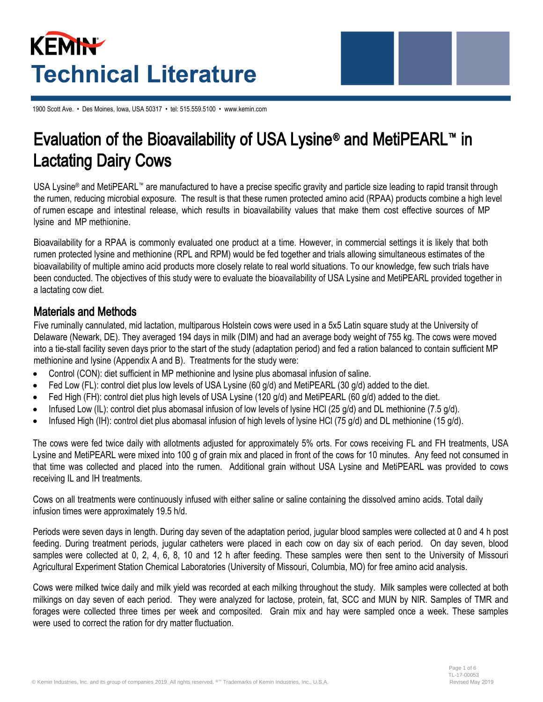# **KEMIN Technical Literature**

1900 Scott Ave. • Des Moines, Iowa, USA 50317 • tel: 515.559.5100 • www.kemin.com

## Evaluation of the Bioavailability of USA Lysine® and MetiPEARL™ in Lactating Dairy Cows

USA Lysine® and MetiPEARL™ are manufactured to have a precise specific gravity and particle size leading to rapid transit through the rumen, reducing microbial exposure. The result is that these rumen protected amino acid (RPAA) products combine a high level of rumen escape and intestinal release, which results in bioavailability values that make them cost effective sources of MP lysine and MP methionine.

Bioavailability for a RPAA is commonly evaluated one product at a time. However, in commercial settings it is likely that both rumen protected lysine and methionine (RPL and RPM) would be fed together and trials allowing simultaneous estimates of the bioavailability of multiple amino acid products more closely relate to real world situations. To our knowledge, few such trials have been conducted. The objectives of this study were to evaluate the bioavailability of USA Lysine and MetiPEARL provided together in a lactating cow diet.

#### Materials and Methods

Five ruminally cannulated, mid lactation, multiparous Holstein cows were used in a 5x5 Latin square study at the University of Delaware (Newark, DE). They averaged 194 days in milk (DIM) and had an average body weight of 755 kg. The cows were moved into a tie-stall facility seven days prior to the start of the study (adaptation period) and fed a ration balanced to contain sufficient MP methionine and lysine (Appendix A and B). Treatments for the study were:

- Control (CON): diet sufficient in MP methionine and lysine plus abomasal infusion of saline.
- Fed Low (FL): control diet plus low levels of USA Lysine (60 g/d) and MetiPEARL (30 g/d) added to the diet.
- Fed High (FH): control diet plus high levels of USA Lysine (120 g/d) and MetiPEARL (60 g/d) added to the diet.
- Infused Low (IL): control diet plus abomasal infusion of low levels of lysine HCl (25 g/d) and DL methionine (7.5 g/d).
- Infused High (IH): control diet plus abomasal infusion of high levels of lysine HCl (75 g/d) and DL methionine (15 g/d).

The cows were fed twice daily with allotments adjusted for approximately 5% orts. For cows receiving FL and FH treatments, USA Lysine and MetiPEARL were mixed into 100 g of grain mix and placed in front of the cows for 10 minutes. Any feed not consumed in that time was collected and placed into the rumen. Additional grain without USA Lysine and MetiPEARL was provided to cows receiving IL and IH treatments.

Cows on all treatments were continuously infused with either saline or saline containing the dissolved amino acids. Total daily infusion times were approximately 19.5 h/d.

Periods were seven days in length. During day seven of the adaptation period, jugular blood samples were collected at 0 and 4 h post feeding. During treatment periods, jugular catheters were placed in each cow on day six of each period. On day seven, blood samples were collected at 0, 2, 4, 6, 8, 10 and 12 h after feeding. These samples were then sent to the University of Missouri Agricultural Experiment Station Chemical Laboratories (University of Missouri, Columbia, MO) for free amino acid analysis.

Cows were milked twice daily and milk yield was recorded at each milking throughout the study. Milk samples were collected at both milkings on day seven of each period. They were analyzed for lactose, protein, fat, SCC and MUN by NIR. Samples of TMR and forages were collected three times per week and composited. Grain mix and hay were sampled once a week. These samples were used to correct the ration for dry matter fluctuation.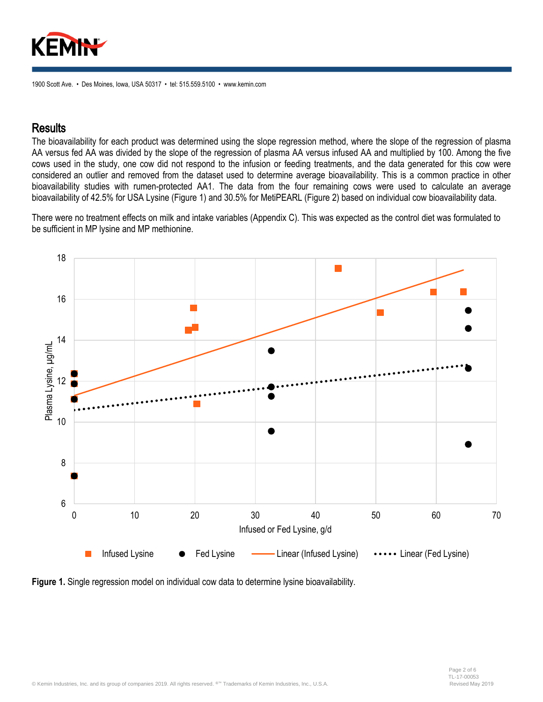

#### **Results**

The bioavailability for each product was determined using the slope regression method, where the slope of the regression of plasma AA versus fed AA was divided by the slope of the regression of plasma AA versus infused AA and multiplied by 100. Among the five cows used in the study, one cow did not respond to the infusion or feeding treatments, and the data generated for this cow were considered an outlier and removed from the dataset used to determine average bioavailability. This is a common practice in other bioavailability studies with rumen-protected AA1. The data from the four remaining cows were used to calculate an average bioavailability of 42.5% for USA Lysine (Figure 1) and 30.5% for MetiPEARL (Figure 2) based on individual cow bioavailability data.

There were no treatment effects on milk and intake variables (Appendix C). This was expected as the control diet was formulated to be sufficient in MP lysine and MP methionine.



**Figure 1.** Single regression model on individual cow data to determine lysine bioavailability.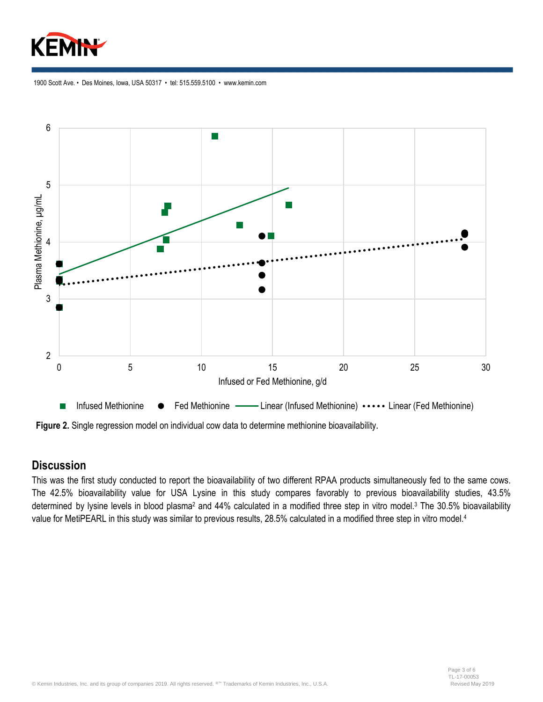



**Figure 2.** Single regression model on individual cow data to determine methionine bioavailability**.**

#### **Discussion**

This was the first study conducted to report the bioavailability of two different RPAA products simultaneously fed to the same cows. The 42.5% bioavailability value for USA Lysine in this study compares favorably to previous bioavailability studies, 43.5% determined by lysine levels in blood plasma<sup>2</sup> and 44% calculated in a modified three step in vitro model.<sup>3</sup> The 30.5% bioavailability value for MetiPEARL in this study was similar to previous results, 28.5% calculated in a modified three step in vitro model.<sup>4</sup>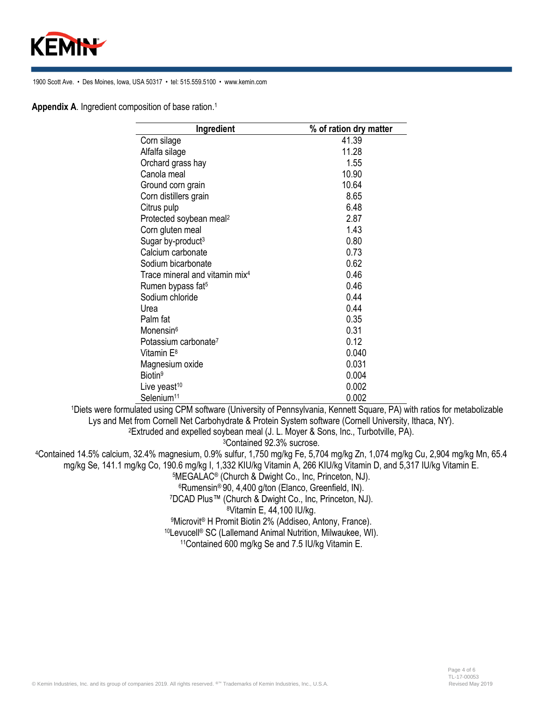

**Appendix A**. Ingredient composition of base ration. 1

| Ingredient                                 | % of ration dry matter |  |  |  |
|--------------------------------------------|------------------------|--|--|--|
| Corn silage                                | 41.39                  |  |  |  |
| Alfalfa silage                             | 11.28                  |  |  |  |
| Orchard grass hay                          | 1.55                   |  |  |  |
| Canola meal                                | 10.90                  |  |  |  |
| Ground corn grain                          | 10.64                  |  |  |  |
| Corn distillers grain                      | 8.65                   |  |  |  |
| Citrus pulp                                | 6.48                   |  |  |  |
| Protected soybean meal <sup>2</sup>        | 2.87                   |  |  |  |
| Corn gluten meal                           | 1.43                   |  |  |  |
| Sugar by-product <sup>3</sup>              | 0.80                   |  |  |  |
| Calcium carbonate                          | 0.73                   |  |  |  |
| Sodium bicarbonate                         | 0.62                   |  |  |  |
| Trace mineral and vitamin mix <sup>4</sup> | 0.46                   |  |  |  |
| Rumen bypass fat <sup>5</sup>              | 0.46                   |  |  |  |
| Sodium chloride                            | 0.44                   |  |  |  |
| Urea                                       | 0.44                   |  |  |  |
| Palm fat                                   | 0.35                   |  |  |  |
| Monensin <sup>6</sup>                      | 0.31                   |  |  |  |
| Potassium carbonate <sup>7</sup>           | 0.12                   |  |  |  |
| Vitamin E <sup>8</sup>                     | 0.040                  |  |  |  |
| Magnesium oxide                            | 0.031                  |  |  |  |
| Biotin <sup>9</sup>                        | 0.004                  |  |  |  |
| Live yeast <sup>10</sup>                   | 0.002                  |  |  |  |
| Selenium <sup>11</sup>                     | 0.002                  |  |  |  |

<sup>1</sup>Diets were formulated using CPM software (University of Pennsylvania, Kennett Square, PA) with ratios for metabolizable Lys and Met from Cornell Net Carbohydrate & Protein System software (Cornell University, Ithaca, NY). <sup>2</sup>Extruded and expelled soybean meal (J. L. Moyer & Sons, Inc., Turbotville, PA).

<sup>3</sup>Contained 92.3% sucrose.

<sup>4</sup>Contained 14.5% calcium, 32.4% magnesium, 0.9% sulfur, 1,750 mg/kg Fe, 5,704 mg/kg Zn, 1,074 mg/kg Cu, 2,904 mg/kg Mn, 65.4 mg/kg Se, 141.1 mg/kg Co, 190.6 mg/kg I, 1,332 KIU/kg Vitamin A, 266 KIU/kg Vitamin D, and 5,317 IU/kg Vitamin E.

<sup>5</sup>MEGALAC® (Church & Dwight Co., Inc, Princeton, NJ).

<sup>6</sup>Rumensin® 90, 4,400 g/ton (Elanco, Greenfield, IN).

<sup>7</sup>DCAD Plus™ (Church & Dwight Co., Inc, Princeton, NJ).

<sup>8</sup>Vitamin E, 44,100 IU/kg.

<sup>9</sup>Microvit® H Promit Biotin 2% (Addiseo, Antony, France).

<sup>10</sup>Levucell® SC (Lallemand Animal Nutrition, Milwaukee, WI).

11Contained 600 mg/kg Se and 7.5 IU/kg Vitamin E.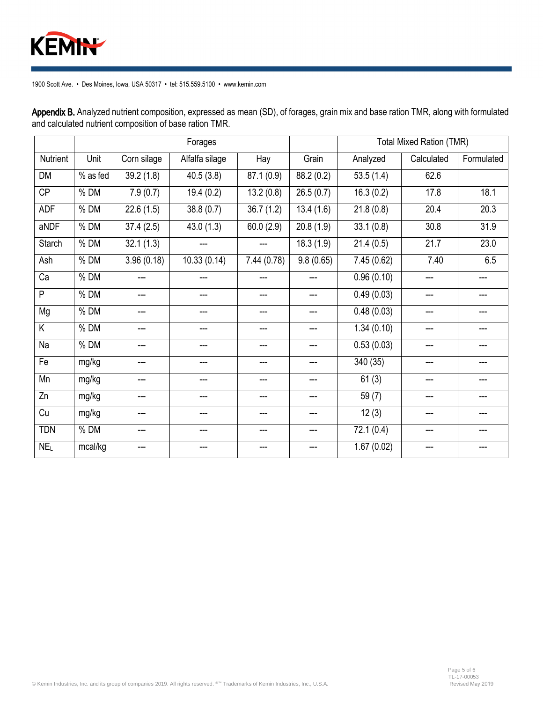

Forages **The Contract Contract Contract Contract Contract Contract Contract Contract Contract Contract Contract Contract Contract Contract Contract Contract Contract Contract Contract Contract Contract Contract Contract Co** Nutrient Unit Corn silage Alfalfa silage Hay Grain Analyzed Calculated Formulated DM | % as fed | 39.2 (1.8) | 40.5 (3.8) | 87.1 (0.9) | 88.2 (0.2) | 53.5 (1.4) | 62.6 CP | % DM | 7.9 (0.7) | 19.4 (0.2) | 13.2 (0.8) | 26.5 (0.7) | 16.3 (0.2) | 17.8 | 18.1 ADF % DM 22.6 (1.5) 38.8 (0.7) 36.7 (1.2) 13.4 (1.6) 21.8 (0.8) 20.4 20.3 aNDF | % DM | 37.4 (2.5) | 43.0 (1.3) | 60.0 (2.9) | 20.8 (1.9) | 33.1 (0.8) | 30.8 | 31.9 Starch | % DM | 32.1 (1.3) | | | 18.3 (1.9) | 21.4 (0.5) | 21.7 | 23.0 Ash % DM 3.96 (0.18) 10.33 (0.14) 7.44 (0.78) 9.8 (0.65) 7.45 (0.62) 7.40 6.5 Ca % DM --- --- --- --- 0.96 (0.10) --- --- P % DM --- --- --- --- 0.49 (0.03) --- --- Mg % DM --- --- --- --- 0.48 (0.03) --- --- K % DM --- --- --- --- 1.34 (0.10) --- --- Na % DM --- --- --- --- 0.53 (0.03) --- --- Fe | mg/kg | --- | --- | --- | --- | 340 (35) | --- | ---Mn | mg/kg | --- | --- | --- | --- | --- | 61 (3) | --- | ---Zn | mg/kg | --- | --- | --- | --- | 59 (7) | --- | ---Cu | mg/kg | --- | --- | --- | --- | 12 (3) | --- | ---TDN % DM --- --- --- --- 72.1 (0.4) --- ---

NE<sub>L</sub> | mcal/kg | --- | --- | --- | --- | 1.67 (0.02) | --- | ---

Appendix B. Analyzed nutrient composition, expressed as mean (SD), of forages, grain mix and base ration TMR, along with formulated and calculated nutrient composition of base ration TMR.